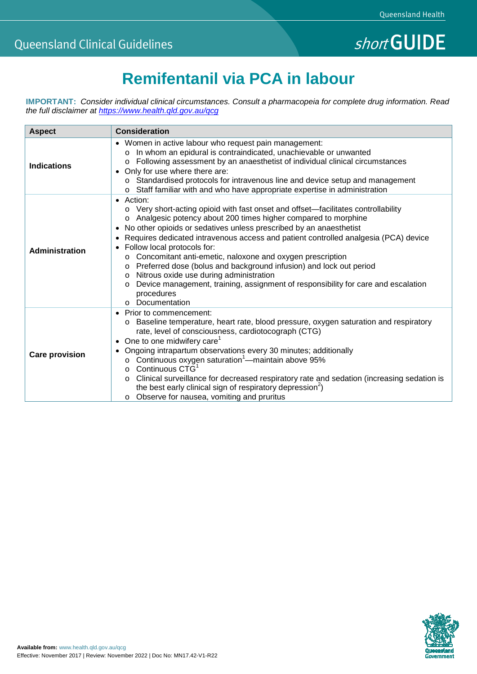# **Remifentanil via PCA in labour**

**IMPORTANT:** *Consider individual clinical circumstances. Consult a pharmacopeia for complete drug information. Read the full disclaimer at<https://www.health.qld.gov.au/qcg>*

| <b>Aspect</b>         | <b>Consideration</b>                                                                                                                                                                                                                                                                                                                                                                                                                                                                                                                                                                                                                                                         |
|-----------------------|------------------------------------------------------------------------------------------------------------------------------------------------------------------------------------------------------------------------------------------------------------------------------------------------------------------------------------------------------------------------------------------------------------------------------------------------------------------------------------------------------------------------------------------------------------------------------------------------------------------------------------------------------------------------------|
| <b>Indications</b>    | • Women in active labour who request pain management:<br>In whom an epidural is contraindicated, unachievable or unwanted<br>Following assessment by an anaesthetist of individual clinical circumstances<br>$\circ$<br>• Only for use where there are:<br>o Standardised protocols for intravenous line and device setup and management<br>o Staff familiar with and who have appropriate expertise in administration                                                                                                                                                                                                                                                       |
| Administration        | • Action:<br>Very short-acting opioid with fast onset and offset—facilitates controllability<br>Analgesic potency about 200 times higher compared to morphine<br>$\circ$<br>No other opioids or sedatives unless prescribed by an anaesthetist<br>Requires dedicated intravenous access and patient controlled analgesia (PCA) device<br>• Follow local protocols for:<br>o Concomitant anti-emetic, naloxone and oxygen prescription<br>Preferred dose (bolus and background infusion) and lock out period<br>Nitrous oxide use during administration<br>Device management, training, assignment of responsibility for care and escalation<br>procedures<br>o Documentation |
| <b>Care provision</b> | • Prior to commencement:<br>Baseline temperature, heart rate, blood pressure, oxygen saturation and respiratory<br>$\circ$<br>rate, level of consciousness, cardiotocograph (CTG)<br>One to one midwifery care <sup>1</sup><br>Ongoing intrapartum observations every 30 minutes; additionally<br>o Continuous oxygen saturation <sup>1</sup> -maintain above 95%<br>Continuous CTG <sup>1</sup><br>$\Omega$<br>Clinical surveillance for decreased respiratory rate and sedation (increasing sedation is<br>the best early clinical sign of respiratory depression <sup>2</sup> )<br>Observe for nausea, vomiting and pruritus<br>$\circ$                                   |